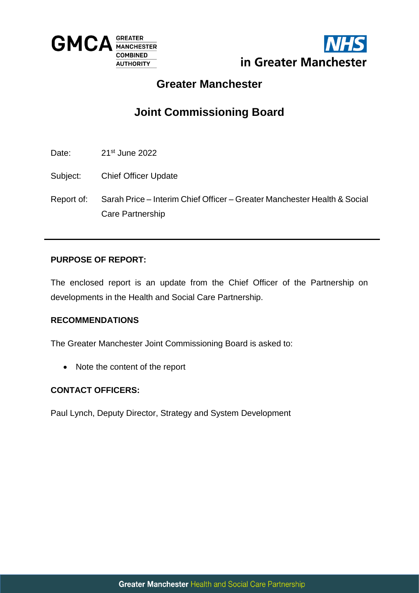



## **Greater Manchester**

# **Joint Commissioning Board**

Date: 21<sup>st</sup> June 2022

- Subject: Chief Officer Update
- Report of: Sarah Price Interim Chief Officer Greater Manchester Health & Social Care Partnership

#### **PURPOSE OF REPORT:**

The enclosed report is an update from the Chief Officer of the Partnership on developments in the Health and Social Care Partnership.

#### **RECOMMENDATIONS**

The Greater Manchester Joint Commissioning Board is asked to:

• Note the content of the report

#### **CONTACT OFFICERS:**

Paul Lynch, Deputy Director, Strategy and System Development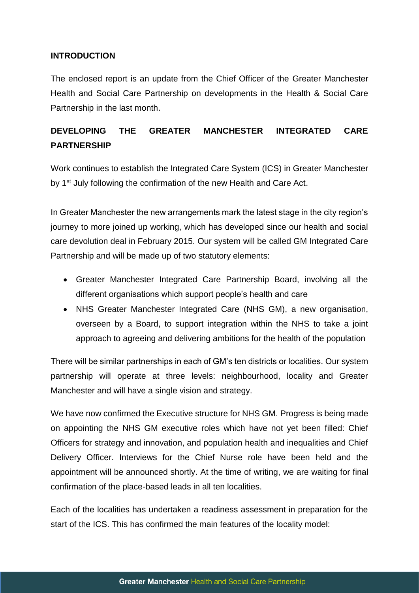#### **INTRODUCTION**

The enclosed report is an update from the Chief Officer of the Greater Manchester Health and Social Care Partnership on developments in the Health & Social Care Partnership in the last month.

### **DEVELOPING THE GREATER MANCHESTER INTEGRATED CARE PARTNERSHIP**

Work continues to establish the Integrated Care System (ICS) in Greater Manchester by 1<sup>st</sup> July following the confirmation of the new Health and Care Act.

In Greater Manchester the new arrangements mark the latest stage in the city region's journey to more joined up working, which has developed since our health and social care devolution deal in February 2015. Our system will be called GM Integrated Care Partnership and will be made up of two statutory elements:

- Greater Manchester Integrated Care Partnership Board, involving all the different organisations which support people's health and care
- NHS Greater Manchester Integrated Care (NHS GM), a new organisation, overseen by a Board, to support integration within the NHS to take a joint approach to agreeing and delivering ambitions for the health of the population

There will be similar partnerships in each of GM's ten districts or localities. Our system partnership will operate at three levels: neighbourhood, locality and Greater Manchester and will have a single vision and strategy.

We have now confirmed the Executive structure for NHS GM. Progress is being made on appointing the NHS GM executive roles which have not yet been filled: Chief Officers for strategy and innovation, and population health and inequalities and Chief Delivery Officer. Interviews for the Chief Nurse role have been held and the appointment will be announced shortly. At the time of writing, we are waiting for final confirmation of the place-based leads in all ten localities.

Each of the localities has undertaken a readiness assessment in preparation for the start of the ICS. This has confirmed the main features of the locality model: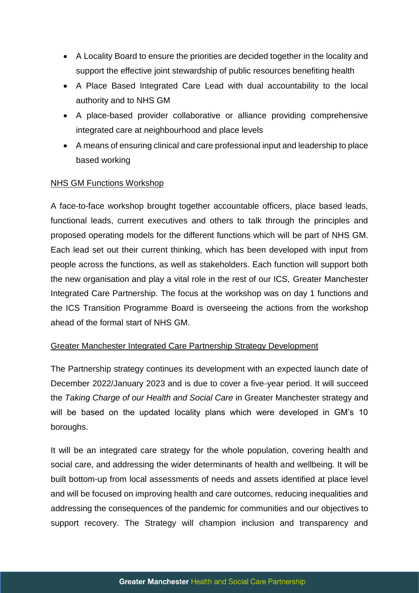- A Locality Board to ensure the priorities are decided together in the locality and support the effective joint stewardship of public resources benefiting health
- A Place Based Integrated Care Lead with dual accountability to the local authority and to NHS GM
- A place-based provider collaborative or alliance providing comprehensive integrated care at neighbourhood and place levels
- A means of ensuring clinical and care professional input and leadership to place based working

#### NHS GM Functions Workshop

A face-to-face workshop brought together accountable officers, place based leads, functional leads, current executives and others to talk through the principles and proposed operating models for the different functions which will be part of NHS GM. Each lead set out their current thinking, which has been developed with input from people across the functions, as well as stakeholders. Each function will support both the new organisation and play a vital role in the rest of our ICS, Greater Manchester Integrated Care Partnership. The focus at the workshop was on day 1 functions and the ICS Transition Programme Board is overseeing the actions from the workshop ahead of the formal start of NHS GM.

#### Greater Manchester Integrated Care Partnership Strategy Development

The Partnership strategy continues its development with an expected launch date of December 2022/January 2023 and is due to cover a five-year period. It will succeed the *Taking Charge of our Health and Social Care* in Greater Manchester strategy and will be based on the updated locality plans which were developed in GM's 10 boroughs.

It will be an integrated care strategy for the whole population, covering health and social care, and addressing the wider determinants of health and wellbeing. It will be built bottom-up from local assessments of needs and assets identified at place level and will be focused on improving health and care outcomes, reducing inequalities and addressing the consequences of the pandemic for communities and our objectives to support recovery. The Strategy will champion inclusion and transparency and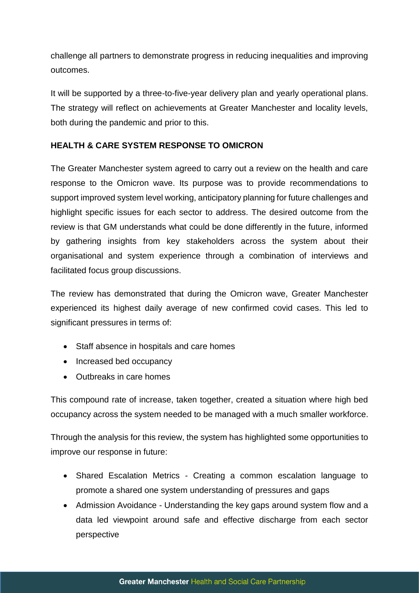challenge all partners to demonstrate progress in reducing inequalities and improving outcomes.

It will be supported by a three-to-five-year delivery plan and yearly operational plans. The strategy will reflect on achievements at Greater Manchester and locality levels, both during the pandemic and prior to this.

#### **HEALTH & CARE SYSTEM RESPONSE TO OMICRON**

The Greater Manchester system agreed to carry out a review on the health and care response to the Omicron wave. Its purpose was to provide recommendations to support improved system level working, anticipatory planning for future challenges and highlight specific issues for each sector to address. The desired outcome from the review is that GM understands what could be done differently in the future, informed by gathering insights from key stakeholders across the system about their organisational and system experience through a combination of interviews and facilitated focus group discussions.

The review has demonstrated that during the Omicron wave, Greater Manchester experienced its highest daily average of new confirmed covid cases. This led to significant pressures in terms of:

- Staff absence in hospitals and care homes
- Increased bed occupancy
- Outbreaks in care homes

This compound rate of increase, taken together, created a situation where high bed occupancy across the system needed to be managed with a much smaller workforce.

Through the analysis for this review, the system has highlighted some opportunities to improve our response in future:

- Shared Escalation Metrics Creating a common escalation language to promote a shared one system understanding of pressures and gaps
- Admission Avoidance Understanding the key gaps around system flow and a data led viewpoint around safe and effective discharge from each sector perspective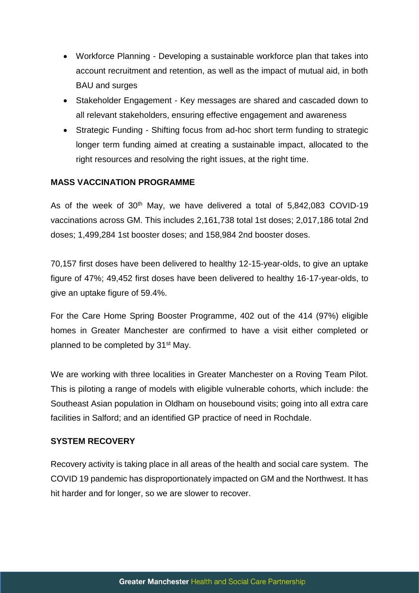- Workforce Planning Developing a sustainable workforce plan that takes into account recruitment and retention, as well as the impact of mutual aid, in both BAU and surges
- Stakeholder Engagement Key messages are shared and cascaded down to all relevant stakeholders, ensuring effective engagement and awareness
- Strategic Funding Shifting focus from ad-hoc short term funding to strategic longer term funding aimed at creating a sustainable impact, allocated to the right resources and resolving the right issues, at the right time.

#### **MASS VACCINATION PROGRAMME**

As of the week of  $30<sup>th</sup>$  May, we have delivered a total of 5,842,083 COVID-19 vaccinations across GM. This includes 2,161,738 total 1st doses; 2,017,186 total 2nd doses; 1,499,284 1st booster doses; and 158,984 2nd booster doses.

70,157 first doses have been delivered to healthy 12-15-year-olds, to give an uptake figure of 47%; 49,452 first doses have been delivered to healthy 16-17-year-olds, to give an uptake figure of 59.4%.

For the Care Home Spring Booster Programme, 402 out of the 414 (97%) eligible homes in Greater Manchester are confirmed to have a visit either completed or planned to be completed by 31<sup>st</sup> May.

We are working with three localities in Greater Manchester on a Roving Team Pilot. This is piloting a range of models with eligible vulnerable cohorts, which include: the Southeast Asian population in Oldham on housebound visits; going into all extra care facilities in Salford; and an identified GP practice of need in Rochdale.

#### **SYSTEM RECOVERY**

Recovery activity is taking place in all areas of the health and social care system. The COVID 19 pandemic has disproportionately impacted on GM and the Northwest. It has hit harder and for longer, so we are slower to recover.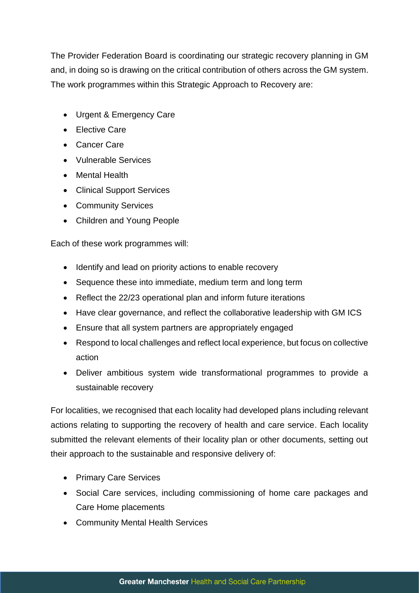The Provider Federation Board is coordinating our strategic recovery planning in GM and, in doing so is drawing on the critical contribution of others across the GM system. The work programmes within this Strategic Approach to Recovery are:

- Urgent & Emergency Care
- Flective Care
- Cancer Care
- Vulnerable Services
- Mental Health
- Clinical Support Services
- Community Services
- Children and Young People

Each of these work programmes will:

- Identify and lead on priority actions to enable recovery
- Sequence these into immediate, medium term and long term
- Reflect the 22/23 operational plan and inform future iterations
- Have clear governance, and reflect the collaborative leadership with GM ICS
- Ensure that all system partners are appropriately engaged
- Respond to local challenges and reflect local experience, but focus on collective action
- Deliver ambitious system wide transformational programmes to provide a sustainable recovery

For localities, we recognised that each locality had developed plans including relevant actions relating to supporting the recovery of health and care service. Each locality submitted the relevant elements of their locality plan or other documents, setting out their approach to the sustainable and responsive delivery of:

- Primary Care Services
- Social Care services, including commissioning of home care packages and Care Home placements
- Community Mental Health Services